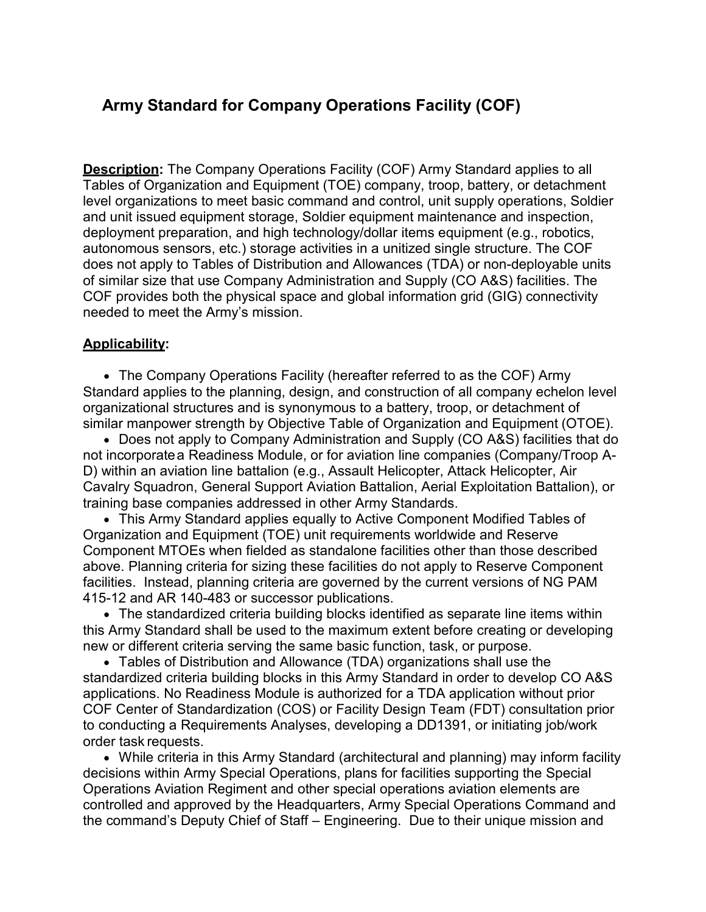# **Army Standard for Company Operations Facility (COF)**

**Description:** The Company Operations Facility (COF) Army Standard applies to all Tables of Organization and Equipment (TOE) company, troop, battery, or detachment level organizations to meet basic command and control, unit supply operations, Soldier and unit issued equipment storage, Soldier equipment maintenance and inspection, deployment preparation, and high technology/dollar items equipment (e.g., robotics, autonomous sensors, etc.) storage activities in a unitized single structure. The COF does not apply to Tables of Distribution and Allowances (TDA) or non-deployable units of similar size that use Company Administration and Supply (CO A&S) facilities. The COF provides both the physical space and global information grid (GIG) connectivity needed to meet the Army's mission.

### **Applicability:**

• The Company Operations Facility (hereafter referred to as the COF) Army Standard applies to the planning, design, and construction of all company echelon level organizational structures and is synonymous to a battery, troop, or detachment of similar manpower strength by Objective Table of Organization and Equipment (OTOE).

• Does not apply to Company Administration and Supply (CO A&S) facilities that do not incorporatea Readiness Module, or for aviation line companies (Company/Troop A-D) within an aviation line battalion (e.g., Assault Helicopter, Attack Helicopter, Air Cavalry Squadron, General Support Aviation Battalion, Aerial Exploitation Battalion), or training base companies addressed in other Army Standards.

• This Army Standard applies equally to Active Component Modified Tables of Organization and Equipment (TOE) unit requirements worldwide and Reserve Component MTOEs when fielded as standalone facilities other than those described above. Planning criteria for sizing these facilities do not apply to Reserve Component facilities. Instead, planning criteria are governed by the current versions of NG PAM 415-12 and AR 140-483 or successor publications.

• The standardized criteria building blocks identified as separate line items within this Army Standard shall be used to the maximum extent before creating or developing new or different criteria serving the same basic function, task, or purpose.

• Tables of Distribution and Allowance (TDA) organizations shall use the standardized criteria building blocks in this Army Standard in order to develop CO A&S applications. No Readiness Module is authorized for a TDA application without prior COF Center of Standardization (COS) or Facility Design Team (FDT) consultation prior to conducting a Requirements Analyses, developing a DD1391, or initiating job/work order task requests.

• While criteria in this Army Standard (architectural and planning) may inform facility decisions within Army Special Operations, plans for facilities supporting the Special Operations Aviation Regiment and other special operations aviation elements are controlled and approved by the Headquarters, Army Special Operations Command and the command's Deputy Chief of Staff – Engineering. Due to their unique mission and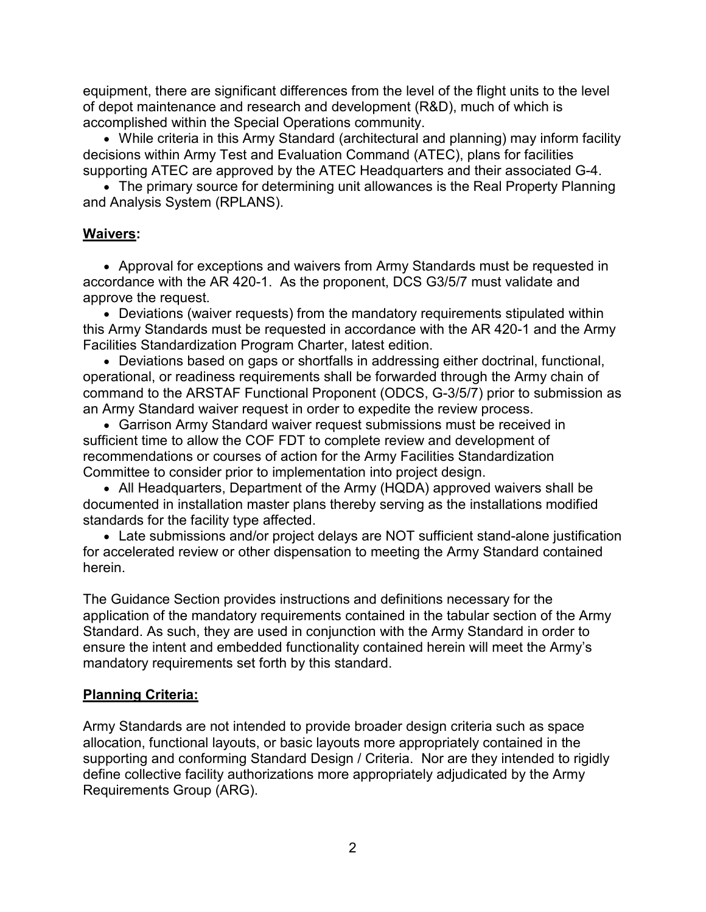equipment, there are significant differences from the level of the flight units to the level of depot maintenance and research and development (R&D), much of which is accomplished within the Special Operations community.

• While criteria in this Army Standard (architectural and planning) may inform facility decisions within Army Test and Evaluation Command (ATEC), plans for facilities supporting ATEC are approved by the ATEC Headquarters and their associated G-4.

• The primary source for determining unit allowances is the Real Property Planning and Analysis System (RPLANS).

### **Waivers:**

• Approval for exceptions and waivers from Army Standards must be requested in accordance with the AR 420-1. As the proponent, DCS G3/5/7 must validate and approve the request.

• Deviations (waiver requests) from the mandatory requirements stipulated within this Army Standards must be requested in accordance with the AR 420-1 and the Army Facilities Standardization Program Charter, latest edition.

• Deviations based on gaps or shortfalls in addressing either doctrinal, functional, operational, or readiness requirements shall be forwarded through the Army chain of command to the ARSTAF Functional Proponent (ODCS, G-3/5/7) prior to submission as an Army Standard waiver request in order to expedite the review process.

• Garrison Army Standard waiver request submissions must be received in sufficient time to allow the COF FDT to complete review and development of recommendations or courses of action for the Army Facilities Standardization Committee to consider prior to implementation into project design.

• All Headquarters, Department of the Army (HQDA) approved waivers shall be documented in installation master plans thereby serving as the installations modified standards for the facility type affected.

• Late submissions and/or project delays are NOT sufficient stand-alone justification for accelerated review or other dispensation to meeting the Army Standard contained herein.

The Guidance Section provides instructions and definitions necessary for the application of the mandatory requirements contained in the tabular section of the Army Standard. As such, they are used in conjunction with the Army Standard in order to ensure the intent and embedded functionality contained herein will meet the Army's mandatory requirements set forth by this standard.

### **Planning Criteria:**

Army Standards are not intended to provide broader design criteria such as space allocation, functional layouts, or basic layouts more appropriately contained in the supporting and conforming Standard Design / Criteria. Nor are they intended to rigidly define collective facility authorizations more appropriately adjudicated by the Army Requirements Group (ARG).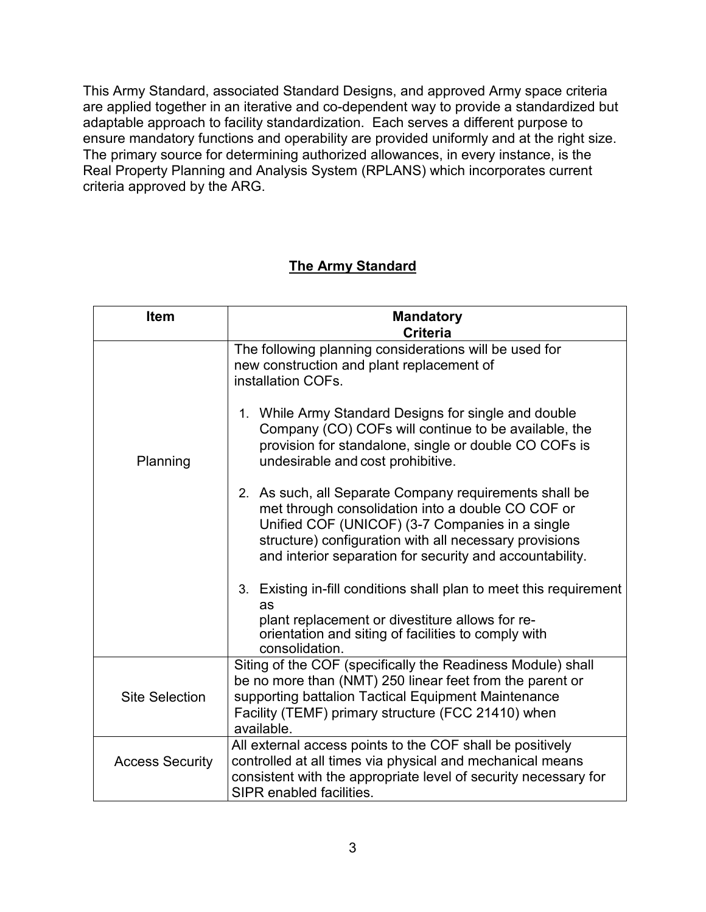This Army Standard, associated Standard Designs, and approved Army space criteria are applied together in an iterative and co-dependent way to provide a standardized but adaptable approach to facility standardization. Each serves a different purpose to ensure mandatory functions and operability are provided uniformly and at the right size. The primary source for determining authorized allowances, in every instance, is the Real Property Planning and Analysis System (RPLANS) which incorporates current criteria approved by the ARG.

# **The Army Standard**

| <b>Item</b>            | <b>Mandatory</b><br><b>Criteria</b>                                                                                                                                                                                                                                                  |
|------------------------|--------------------------------------------------------------------------------------------------------------------------------------------------------------------------------------------------------------------------------------------------------------------------------------|
|                        | The following planning considerations will be used for<br>new construction and plant replacement of<br>installation COFs.                                                                                                                                                            |
| Planning               | 1. While Army Standard Designs for single and double<br>Company (CO) COFs will continue to be available, the<br>provision for standalone, single or double CO COFs is<br>undesirable and cost prohibitive.                                                                           |
|                        | 2. As such, all Separate Company requirements shall be<br>met through consolidation into a double CO COF or<br>Unified COF (UNICOF) (3-7 Companies in a single<br>structure) configuration with all necessary provisions<br>and interior separation for security and accountability. |
|                        | 3. Existing in-fill conditions shall plan to meet this requirement<br>as<br>plant replacement or divestiture allows for re-<br>orientation and siting of facilities to comply with<br>consolidation.                                                                                 |
| <b>Site Selection</b>  | Siting of the COF (specifically the Readiness Module) shall<br>be no more than (NMT) 250 linear feet from the parent or<br>supporting battalion Tactical Equipment Maintenance<br>Facility (TEMF) primary structure (FCC 21410) when<br>available.                                   |
| <b>Access Security</b> | All external access points to the COF shall be positively<br>controlled at all times via physical and mechanical means<br>consistent with the appropriate level of security necessary for<br>SIPR enabled facilities.                                                                |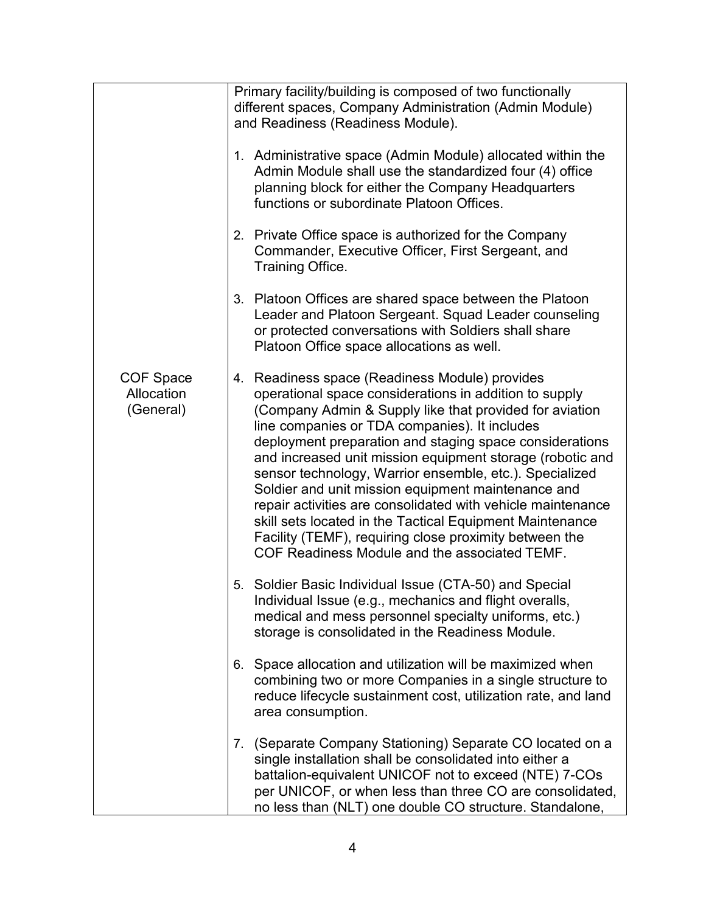|                                      | Primary facility/building is composed of two functionally<br>different spaces, Company Administration (Admin Module)<br>and Readiness (Readiness Module).                                                                                                                                                                                                                                                                                                                                                                                                                                                                                                                                           |
|--------------------------------------|-----------------------------------------------------------------------------------------------------------------------------------------------------------------------------------------------------------------------------------------------------------------------------------------------------------------------------------------------------------------------------------------------------------------------------------------------------------------------------------------------------------------------------------------------------------------------------------------------------------------------------------------------------------------------------------------------------|
|                                      | 1. Administrative space (Admin Module) allocated within the<br>Admin Module shall use the standardized four (4) office<br>planning block for either the Company Headquarters<br>functions or subordinate Platoon Offices.                                                                                                                                                                                                                                                                                                                                                                                                                                                                           |
|                                      | 2. Private Office space is authorized for the Company<br>Commander, Executive Officer, First Sergeant, and<br>Training Office.                                                                                                                                                                                                                                                                                                                                                                                                                                                                                                                                                                      |
|                                      | 3. Platoon Offices are shared space between the Platoon<br>Leader and Platoon Sergeant. Squad Leader counseling<br>or protected conversations with Soldiers shall share<br>Platoon Office space allocations as well.                                                                                                                                                                                                                                                                                                                                                                                                                                                                                |
| COF Space<br>Allocation<br>(General) | 4. Readiness space (Readiness Module) provides<br>operational space considerations in addition to supply<br>(Company Admin & Supply like that provided for aviation<br>line companies or TDA companies). It includes<br>deployment preparation and staging space considerations<br>and increased unit mission equipment storage (robotic and<br>sensor technology, Warrior ensemble, etc.). Specialized<br>Soldier and unit mission equipment maintenance and<br>repair activities are consolidated with vehicle maintenance<br>skill sets located in the Tactical Equipment Maintenance<br>Facility (TEMF), requiring close proximity between the<br>COF Readiness Module and the associated TEMF. |
|                                      | 5. Soldier Basic Individual Issue (CTA-50) and Special<br>Individual Issue (e.g., mechanics and flight overalls,<br>medical and mess personnel specialty uniforms, etc.)<br>storage is consolidated in the Readiness Module.                                                                                                                                                                                                                                                                                                                                                                                                                                                                        |
|                                      | Space allocation and utilization will be maximized when<br>6.<br>combining two or more Companies in a single structure to<br>reduce lifecycle sustainment cost, utilization rate, and land<br>area consumption.                                                                                                                                                                                                                                                                                                                                                                                                                                                                                     |
|                                      | (Separate Company Stationing) Separate CO located on a<br>7.<br>single installation shall be consolidated into either a<br>battalion-equivalent UNICOF not to exceed (NTE) 7-COs<br>per UNICOF, or when less than three CO are consolidated,<br>no less than (NLT) one double CO structure. Standalone,                                                                                                                                                                                                                                                                                                                                                                                             |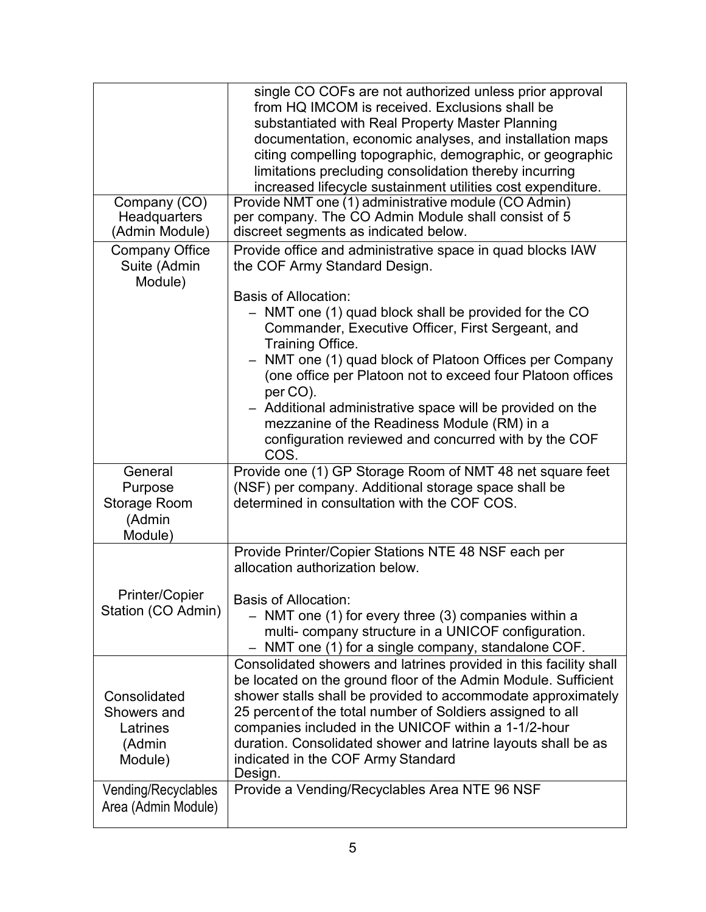|                                                              | single CO COFs are not authorized unless prior approval<br>from HQ IMCOM is received. Exclusions shall be<br>substantiated with Real Property Master Planning<br>documentation, economic analyses, and installation maps<br>citing compelling topographic, demographic, or geographic<br>limitations precluding consolidation thereby incurring<br>increased lifecycle sustainment utilities cost expenditure.                                                               |
|--------------------------------------------------------------|------------------------------------------------------------------------------------------------------------------------------------------------------------------------------------------------------------------------------------------------------------------------------------------------------------------------------------------------------------------------------------------------------------------------------------------------------------------------------|
| Company (CO)<br>Headquarters<br>(Admin Module)               | Provide NMT one (1) administrative module (CO Admin)<br>per company. The CO Admin Module shall consist of 5<br>discreet segments as indicated below.                                                                                                                                                                                                                                                                                                                         |
| <b>Company Office</b><br>Suite (Admin<br>Module)             | Provide office and administrative space in quad blocks IAW<br>the COF Army Standard Design.                                                                                                                                                                                                                                                                                                                                                                                  |
|                                                              | <b>Basis of Allocation:</b><br>- NMT one (1) quad block shall be provided for the CO<br>Commander, Executive Officer, First Sergeant, and<br>Training Office.<br>NMT one (1) quad block of Platoon Offices per Company<br>(one office per Platoon not to exceed four Platoon offices<br>per CO).<br>- Additional administrative space will be provided on the<br>mezzanine of the Readiness Module (RM) in a<br>configuration reviewed and concurred with by the COF<br>COS. |
| General<br>Purpose<br>Storage Room<br>(Admin<br>Module)      | Provide one (1) GP Storage Room of NMT 48 net square feet<br>(NSF) per company. Additional storage space shall be<br>determined in consultation with the COF COS.                                                                                                                                                                                                                                                                                                            |
|                                                              | Provide Printer/Copier Stations NTE 48 NSF each per<br>allocation authorization below.                                                                                                                                                                                                                                                                                                                                                                                       |
| <b>Printer/Copier</b><br>Station (CO Admin)                  | <b>Basis of Allocation:</b><br>- NMT one (1) for every three (3) companies within a<br>multi- company structure in a UNICOF configuration.<br>NMT one (1) for a single company, standalone COF.                                                                                                                                                                                                                                                                              |
| Consolidated<br>Showers and<br>Latrines<br>(Admin<br>Module) | Consolidated showers and latrines provided in this facility shall<br>be located on the ground floor of the Admin Module. Sufficient<br>shower stalls shall be provided to accommodate approximately<br>25 percent of the total number of Soldiers assigned to all<br>companies included in the UNICOF within a 1-1/2-hour<br>duration. Consolidated shower and latrine layouts shall be as<br>indicated in the COF Army Standard<br>Design.                                  |
| Vending/Recyclables<br>Area (Admin Module)                   | Provide a Vending/Recyclables Area NTE 96 NSF                                                                                                                                                                                                                                                                                                                                                                                                                                |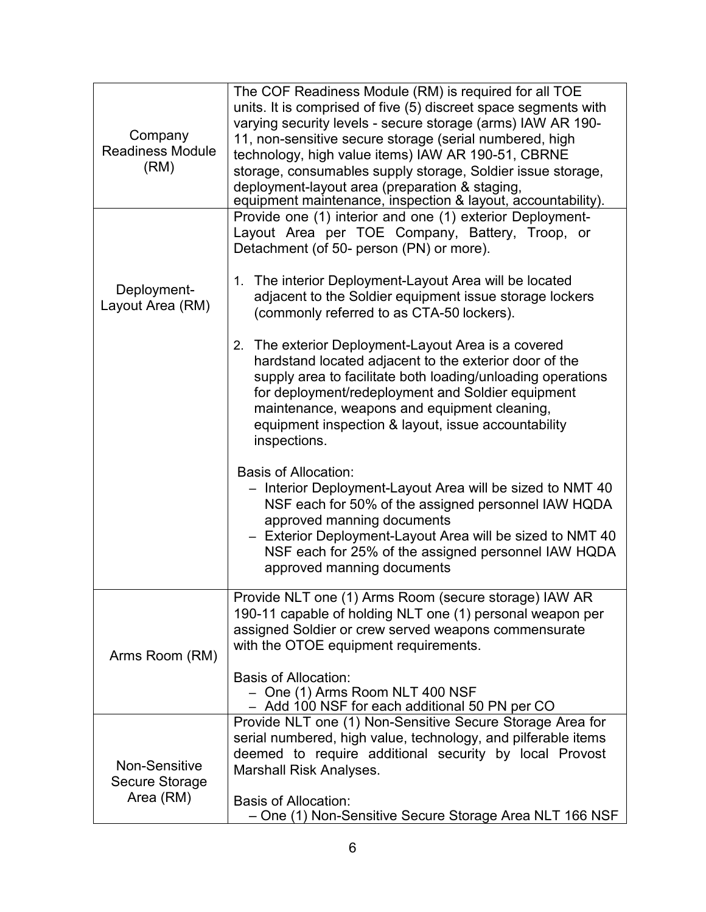| Company<br><b>Readiness Module</b><br>(RM)   | The COF Readiness Module (RM) is required for all TOE<br>units. It is comprised of five (5) discreet space segments with<br>varying security levels - secure storage (arms) IAW AR 190-<br>11, non-sensitive secure storage (serial numbered, high<br>technology, high value items) IAW AR 190-51, CBRNE<br>storage, consumables supply storage, Soldier issue storage,<br>deployment-layout area (preparation & staging,<br>equipment maintenance, inspection & layout, accountability). |
|----------------------------------------------|-------------------------------------------------------------------------------------------------------------------------------------------------------------------------------------------------------------------------------------------------------------------------------------------------------------------------------------------------------------------------------------------------------------------------------------------------------------------------------------------|
|                                              | Provide one (1) interior and one (1) exterior Deployment-<br>Layout Area per TOE Company, Battery, Troop, or<br>Detachment (of 50- person (PN) or more).                                                                                                                                                                                                                                                                                                                                  |
| Deployment-<br>Layout Area (RM)              | The interior Deployment-Layout Area will be located<br>1.<br>adjacent to the Soldier equipment issue storage lockers<br>(commonly referred to as CTA-50 lockers).                                                                                                                                                                                                                                                                                                                         |
|                                              | 2. The exterior Deployment-Layout Area is a covered<br>hardstand located adjacent to the exterior door of the<br>supply area to facilitate both loading/unloading operations<br>for deployment/redeployment and Soldier equipment<br>maintenance, weapons and equipment cleaning,<br>equipment inspection & layout, issue accountability<br>inspections.                                                                                                                                  |
|                                              | <b>Basis of Allocation:</b><br>- Interior Deployment-Layout Area will be sized to NMT 40<br>NSF each for 50% of the assigned personnel IAW HQDA<br>approved manning documents<br>- Exterior Deployment-Layout Area will be sized to NMT 40<br>NSF each for 25% of the assigned personnel IAW HQDA<br>approved manning documents                                                                                                                                                           |
| Arms Room (RM)                               | Provide NLT one (1) Arms Room (secure storage) IAW AR<br>190-11 capable of holding NLT one (1) personal weapon per<br>assigned Soldier or crew served weapons commensurate<br>with the OTOE equipment requirements.                                                                                                                                                                                                                                                                       |
|                                              | <b>Basis of Allocation:</b><br>- One (1) Arms Room NLT 400 NSF<br>- Add 100 NSF for each additional 50 PN per CO                                                                                                                                                                                                                                                                                                                                                                          |
| Non-Sensitive<br>Secure Storage<br>Area (RM) | Provide NLT one (1) Non-Sensitive Secure Storage Area for<br>serial numbered, high value, technology, and pilferable items<br>deemed to require additional security by local Provost<br><b>Marshall Risk Analyses.</b><br><b>Basis of Allocation:</b><br>- One (1) Non-Sensitive Secure Storage Area NLT 166 NSF                                                                                                                                                                          |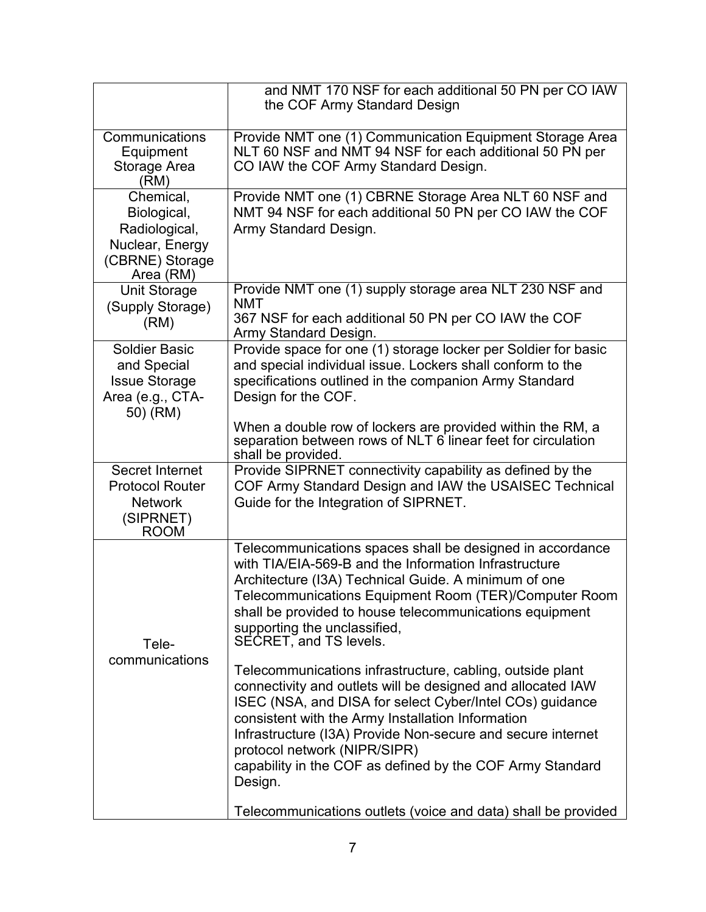|                                                                                              | and NMT 170 NSF for each additional 50 PN per CO IAW<br>the COF Army Standard Design                                                                                                                                                                                                                                                                                                                             |
|----------------------------------------------------------------------------------------------|------------------------------------------------------------------------------------------------------------------------------------------------------------------------------------------------------------------------------------------------------------------------------------------------------------------------------------------------------------------------------------------------------------------|
| Communications<br>Equipment<br>Storage Area<br>(RM)                                          | Provide NMT one (1) Communication Equipment Storage Area<br>NLT 60 NSF and NMT 94 NSF for each additional 50 PN per<br>CO IAW the COF Army Standard Design.                                                                                                                                                                                                                                                      |
| Chemical,<br>Biological,<br>Radiological,<br>Nuclear, Energy<br>(CBRNE) Storage<br>Area (RM) | Provide NMT one (1) CBRNE Storage Area NLT 60 NSF and<br>NMT 94 NSF for each additional 50 PN per CO IAW the COF<br>Army Standard Design.                                                                                                                                                                                                                                                                        |
| <b>Unit Storage</b><br>(Supply Storage)<br>(RM)                                              | Provide NMT one (1) supply storage area NLT 230 NSF and<br><b>NMT</b><br>367 NSF for each additional 50 PN per CO IAW the COF<br>Army Standard Design.                                                                                                                                                                                                                                                           |
| <b>Soldier Basic</b><br>and Special<br><b>Issue Storage</b><br>Area (e.g., CTA-<br>50) (RM)  | Provide space for one (1) storage locker per Soldier for basic<br>and special individual issue. Lockers shall conform to the<br>specifications outlined in the companion Army Standard<br>Design for the COF.<br>When a double row of lockers are provided within the RM, a<br>separation between rows of NLT 6 linear feet for circulation                                                                      |
|                                                                                              | shall be provided.                                                                                                                                                                                                                                                                                                                                                                                               |
| Secret Internet<br><b>Protocol Router</b><br><b>Network</b><br>(SIPRNET)<br><b>ROOM</b>      | Provide SIPRNET connectivity capability as defined by the<br>COF Army Standard Design and IAW the USAISEC Technical<br>Guide for the Integration of SIPRNET.                                                                                                                                                                                                                                                     |
| Tele-<br>communications                                                                      | Telecommunications spaces shall be designed in accordance<br>with TIA/EIA-569-B and the Information Infrastructure<br>Architecture (I3A) Technical Guide. A minimum of one<br>Telecommunications Equipment Room (TER)/Computer Room<br>shall be provided to house telecommunications equipment<br>supporting the unclassified,<br>SECRET, and TS levels.                                                         |
|                                                                                              | Telecommunications infrastructure, cabling, outside plant<br>connectivity and outlets will be designed and allocated IAW<br>ISEC (NSA, and DISA for select Cyber/Intel COs) guidance<br>consistent with the Army Installation Information<br>Infrastructure (I3A) Provide Non-secure and secure internet<br>protocol network (NIPR/SIPR)<br>capability in the COF as defined by the COF Army Standard<br>Design. |
|                                                                                              | Telecommunications outlets (voice and data) shall be provided                                                                                                                                                                                                                                                                                                                                                    |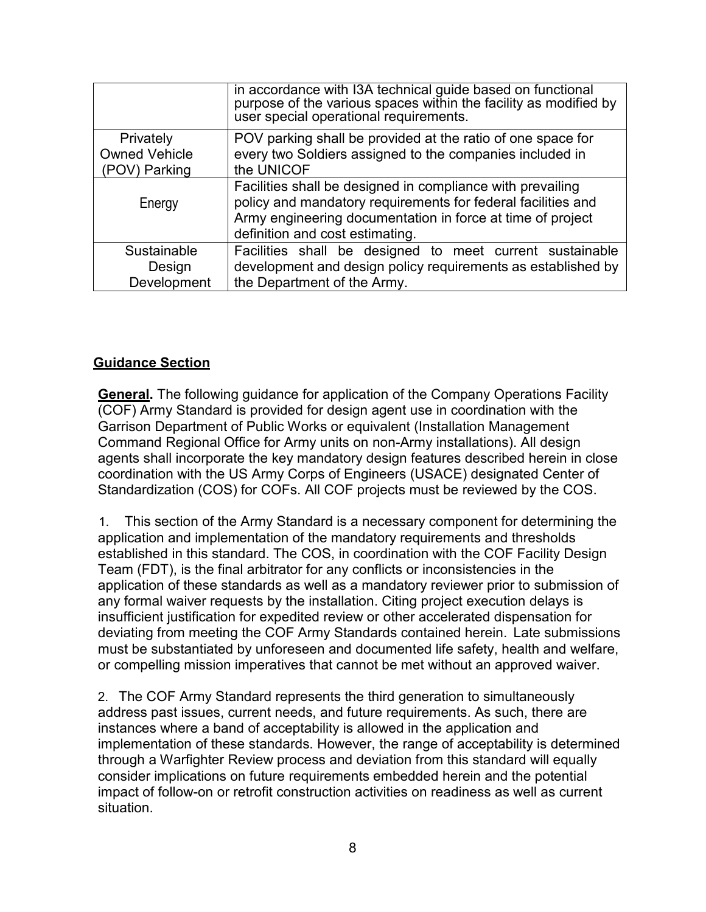|                      | in accordance with I3A technical guide based on functional<br>purpose of the various spaces within the facility as modified by user special operational requirements.                                                       |
|----------------------|-----------------------------------------------------------------------------------------------------------------------------------------------------------------------------------------------------------------------------|
| Privately            | POV parking shall be provided at the ratio of one space for                                                                                                                                                                 |
| <b>Owned Vehicle</b> | every two Soldiers assigned to the companies included in                                                                                                                                                                    |
| (POV) Parking        | the UNICOF                                                                                                                                                                                                                  |
| Energy               | Facilities shall be designed in compliance with prevailing<br>policy and mandatory requirements for federal facilities and<br>Army engineering documentation in force at time of project<br>definition and cost estimating. |
| Sustainable          | Facilities shall be designed to meet current sustainable                                                                                                                                                                    |
| Design               | development and design policy requirements as established by                                                                                                                                                                |
| Development          | the Department of the Army.                                                                                                                                                                                                 |

### **Guidance Section**

**General.** The following guidance for application of the Company Operations Facility (COF) Army Standard is provided for design agent use in coordination with the Garrison Department of Public Works or equivalent (Installation Management Command Regional Office for Army units on non-Army installations). All design agents shall incorporate the key mandatory design features described herein in close coordination with the US Army Corps of Engineers (USACE) designated Center of Standardization (COS) for COFs. All COF projects must be reviewed by the COS.

1. This section of the Army Standard is a necessary component for determining the application and implementation of the mandatory requirements and thresholds established in this standard. The COS, in coordination with the COF Facility Design Team (FDT), is the final arbitrator for any conflicts or inconsistencies in the application of these standards as well as a mandatory reviewer prior to submission of any formal waiver requests by the installation. Citing project execution delays is insufficient justification for expedited review or other accelerated dispensation for deviating from meeting the COF Army Standards contained herein. Late submissions must be substantiated by unforeseen and documented life safety, health and welfare, or compelling mission imperatives that cannot be met without an approved waiver.

2. The COF Army Standard represents the third generation to simultaneously address past issues, current needs, and future requirements. As such, there are instances where a band of acceptability is allowed in the application and implementation of these standards. However, the range of acceptability is determined through a Warfighter Review process and deviation from this standard will equally consider implications on future requirements embedded herein and the potential impact of follow-on or retrofit construction activities on readiness as well as current situation.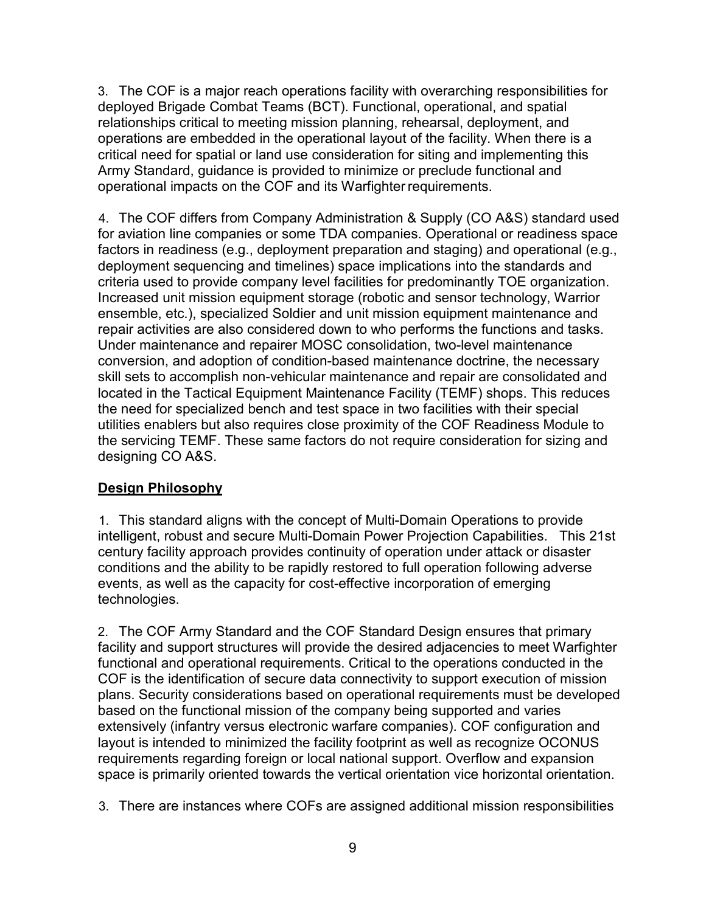3. The COF is a major reach operations facility with overarching responsibilities for deployed Brigade Combat Teams (BCT). Functional, operational, and spatial relationships critical to meeting mission planning, rehearsal, deployment, and operations are embedded in the operational layout of the facility. When there is a critical need for spatial or land use consideration for siting and implementing this Army Standard, guidance is provided to minimize or preclude functional and operational impacts on the COF and its Warfighterrequirements.

4. The COF differs from Company Administration & Supply (CO A&S) standard used for aviation line companies or some TDA companies. Operational or readiness space factors in readiness (e.g., deployment preparation and staging) and operational (e.g., deployment sequencing and timelines) space implications into the standards and criteria used to provide company level facilities for predominantly TOE organization. Increased unit mission equipment storage (robotic and sensor technology, Warrior ensemble, etc.), specialized Soldier and unit mission equipment maintenance and repair activities are also considered down to who performs the functions and tasks. Under maintenance and repairer MOSC consolidation, two-level maintenance conversion, and adoption of condition-based maintenance doctrine, the necessary skill sets to accomplish non-vehicular maintenance and repair are consolidated and located in the Tactical Equipment Maintenance Facility (TEMF) shops. This reduces the need for specialized bench and test space in two facilities with their special utilities enablers but also requires close proximity of the COF Readiness Module to the servicing TEMF. These same factors do not require consideration for sizing and designing CO A&S.

## **Design Philosophy**

1. This standard aligns with the concept of Multi-Domain Operations to provide intelligent, robust and secure Multi-Domain Power Projection Capabilities. This 21st century facility approach provides continuity of operation under attack or disaster conditions and the ability to be rapidly restored to full operation following adverse events, as well as the capacity for cost-effective incorporation of emerging technologies.

2. The COF Army Standard and the COF Standard Design ensures that primary facility and support structures will provide the desired adjacencies to meet Warfighter functional and operational requirements. Critical to the operations conducted in the COF is the identification of secure data connectivity to support execution of mission plans. Security considerations based on operational requirements must be developed based on the functional mission of the company being supported and varies extensively (infantry versus electronic warfare companies). COF configuration and layout is intended to minimized the facility footprint as well as recognize OCONUS requirements regarding foreign or local national support. Overflow and expansion space is primarily oriented towards the vertical orientation vice horizontal orientation.

3. There are instances where COFs are assigned additional mission responsibilities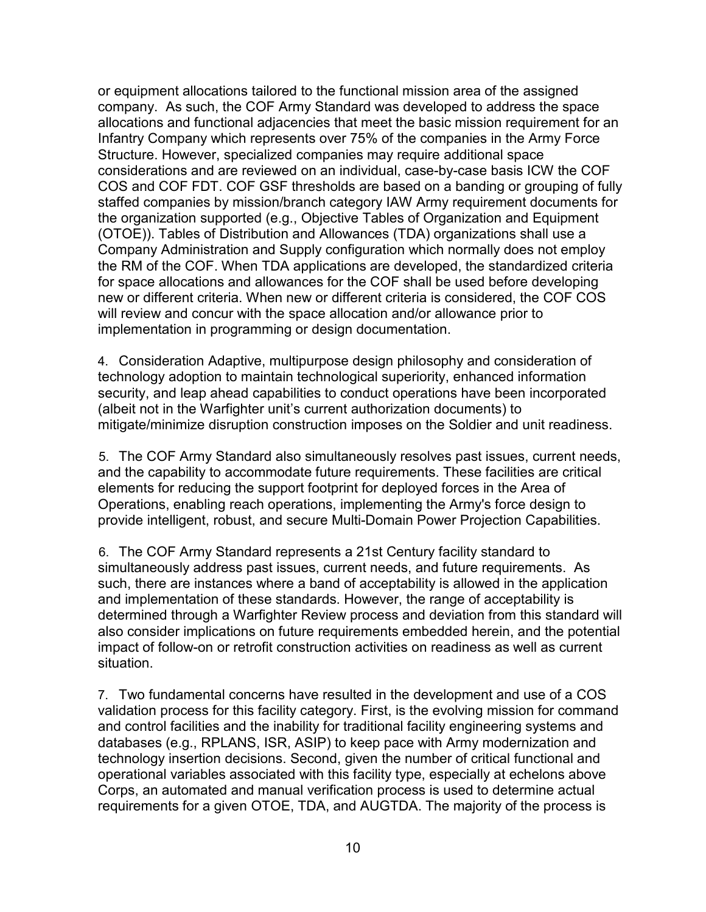or equipment allocations tailored to the functional mission area of the assigned company. As such, the COF Army Standard was developed to address the space allocations and functional adjacencies that meet the basic mission requirement for an Infantry Company which represents over 75% of the companies in the Army Force Structure. However, specialized companies may require additional space considerations and are reviewed on an individual, case-by-case basis ICW the COF COS and COF FDT. COF GSF thresholds are based on a banding or grouping of fully staffed companies by mission/branch category IAW Army requirement documents for the organization supported (e.g., Objective Tables of Organization and Equipment (OTOE)). Tables of Distribution and Allowances (TDA) organizations shall use a Company Administration and Supply configuration which normally does not employ the RM of the COF. When TDA applications are developed, the standardized criteria for space allocations and allowances for the COF shall be used before developing new or different criteria. When new or different criteria is considered, the COF COS will review and concur with the space allocation and/or allowance prior to implementation in programming or design documentation.

4. Consideration Adaptive, multipurpose design philosophy and consideration of technology adoption to maintain technological superiority, enhanced information security, and leap ahead capabilities to conduct operations have been incorporated (albeit not in the Warfighter unit's current authorization documents) to mitigate/minimize disruption construction imposes on the Soldier and unit readiness.

5. The COF Army Standard also simultaneously resolves past issues, current needs, and the capability to accommodate future requirements. These facilities are critical elements for reducing the support footprint for deployed forces in the Area of Operations, enabling reach operations, implementing the Army's force design to provide intelligent, robust, and secure Multi-Domain Power Projection Capabilities.

6. The COF Army Standard represents a 21st Century facility standard to simultaneously address past issues, current needs, and future requirements. As such, there are instances where a band of acceptability is allowed in the application and implementation of these standards. However, the range of acceptability is determined through a Warfighter Review process and deviation from this standard will also consider implications on future requirements embedded herein, and the potential impact of follow-on or retrofit construction activities on readiness as well as current situation.

7. Two fundamental concerns have resulted in the development and use of a COS validation process for this facility category. First, is the evolving mission for command and control facilities and the inability for traditional facility engineering systems and databases (e.g., RPLANS, ISR, ASIP) to keep pace with Army modernization and technology insertion decisions. Second, given the number of critical functional and operational variables associated with this facility type, especially at echelons above Corps, an automated and manual verification process is used to determine actual requirements for a given OTOE, TDA, and AUGTDA. The majority of the process is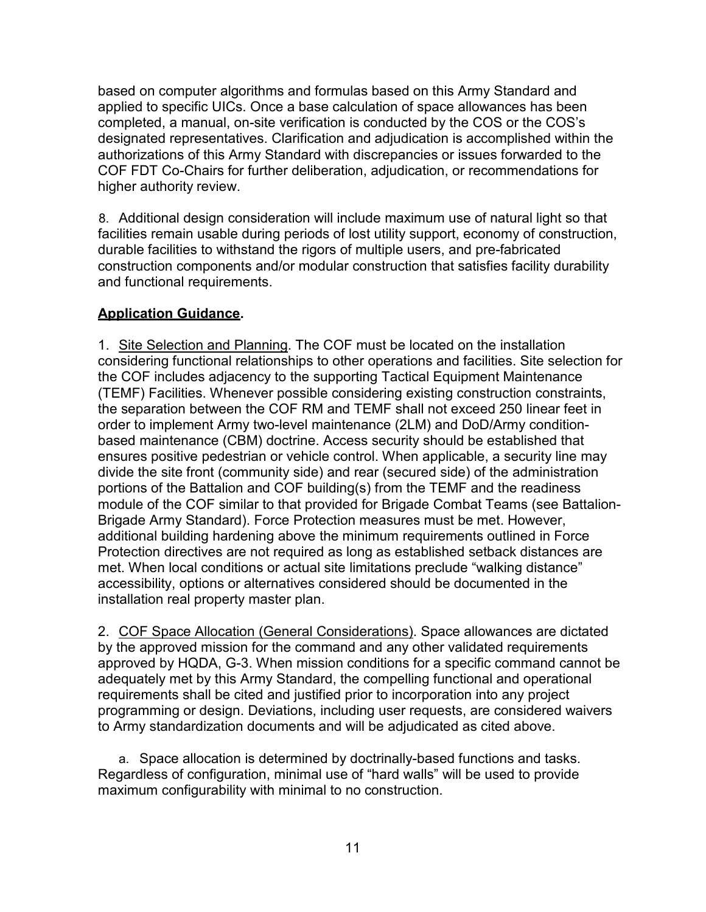based on computer algorithms and formulas based on this Army Standard and applied to specific UICs. Once a base calculation of space allowances has been completed, a manual, on-site verification is conducted by the COS or the COS's designated representatives. Clarification and adjudication is accomplished within the authorizations of this Army Standard with discrepancies or issues forwarded to the COF FDT Co-Chairs for further deliberation, adjudication, or recommendations for higher authority review.

8. Additional design consideration will include maximum use of natural light so that facilities remain usable during periods of lost utility support, economy of construction, durable facilities to withstand the rigors of multiple users, and pre-fabricated construction components and/or modular construction that satisfies facility durability and functional requirements.

## **Application Guidance.**

1. Site Selection and Planning. The COF must be located on the installation considering functional relationships to other operations and facilities. Site selection for the COF includes adjacency to the supporting Tactical Equipment Maintenance (TEMF) Facilities. Whenever possible considering existing construction constraints, the separation between the COF RM and TEMF shall not exceed 250 linear feet in order to implement Army two-level maintenance (2LM) and DoD/Army conditionbased maintenance (CBM) doctrine. Access security should be established that ensures positive pedestrian or vehicle control. When applicable, a security line may divide the site front (community side) and rear (secured side) of the administration portions of the Battalion and COF building(s) from the TEMF and the readiness module of the COF similar to that provided for Brigade Combat Teams (see Battalion-Brigade Army Standard). Force Protection measures must be met. However, additional building hardening above the minimum requirements outlined in Force Protection directives are not required as long as established setback distances are met. When local conditions or actual site limitations preclude "walking distance" accessibility, options or alternatives considered should be documented in the installation real property master plan.

2. COF Space Allocation (General Considerations). Space allowances are dictated by the approved mission for the command and any other validated requirements approved by HQDA, G-3. When mission conditions for a specific command cannot be adequately met by this Army Standard, the compelling functional and operational requirements shall be cited and justified prior to incorporation into any project programming or design. Deviations, including user requests, are considered waivers to Army standardization documents and will be adjudicated as cited above.

a. Space allocation is determined by doctrinally-based functions and tasks. Regardless of configuration, minimal use of "hard walls" will be used to provide maximum configurability with minimal to no construction.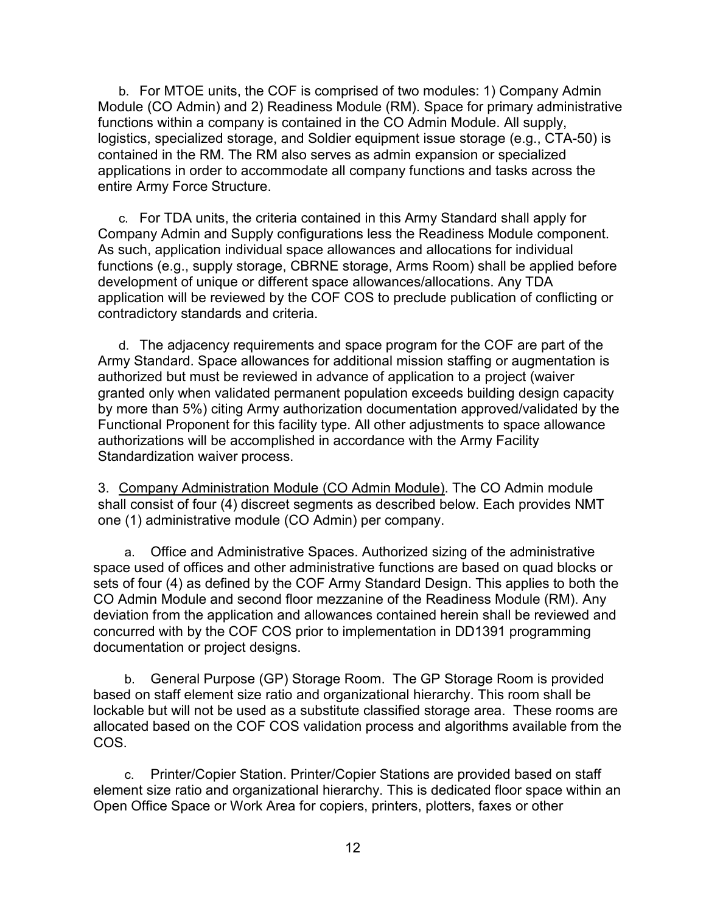b. For MTOE units, the COF is comprised of two modules: 1) Company Admin Module (CO Admin) and 2) Readiness Module (RM). Space for primary administrative functions within a company is contained in the CO Admin Module. All supply, logistics, specialized storage, and Soldier equipment issue storage (e.g., CTA-50) is contained in the RM. The RM also serves as admin expansion or specialized applications in order to accommodate all company functions and tasks across the entire Army Force Structure.

c. For TDA units, the criteria contained in this Army Standard shall apply for Company Admin and Supply configurations less the Readiness Module component. As such, application individual space allowances and allocations for individual functions (e.g., supply storage, CBRNE storage, Arms Room) shall be applied before development of unique or different space allowances/allocations. Any TDA application will be reviewed by the COF COS to preclude publication of conflicting or contradictory standards and criteria.

d. The adjacency requirements and space program for the COF are part of the Army Standard. Space allowances for additional mission staffing or augmentation is authorized but must be reviewed in advance of application to a project (waiver granted only when validated permanent population exceeds building design capacity by more than 5%) citing Army authorization documentation approved/validated by the Functional Proponent for this facility type. All other adjustments to space allowance authorizations will be accomplished in accordance with the Army Facility Standardization waiver process.

3. Company Administration Module (CO Admin Module). The CO Admin module shall consist of four (4) discreet segments as described below. Each provides NMT one (1) administrative module (CO Admin) per company.

a. Office and Administrative Spaces. Authorized sizing of the administrative space used of offices and other administrative functions are based on quad blocks or sets of four (4) as defined by the COF Army Standard Design. This applies to both the CO Admin Module and second floor mezzanine of the Readiness Module (RM). Any deviation from the application and allowances contained herein shall be reviewed and concurred with by the COF COS prior to implementation in DD1391 programming documentation or project designs.

b. General Purpose (GP) Storage Room. The GP Storage Room is provided based on staff element size ratio and organizational hierarchy. This room shall be lockable but will not be used as a substitute classified storage area. These rooms are allocated based on the COF COS validation process and algorithms available from the COS.

c. Printer/Copier Station. Printer/Copier Stations are provided based on staff element size ratio and organizational hierarchy. This is dedicated floor space within an Open Office Space or Work Area for copiers, printers, plotters, faxes or other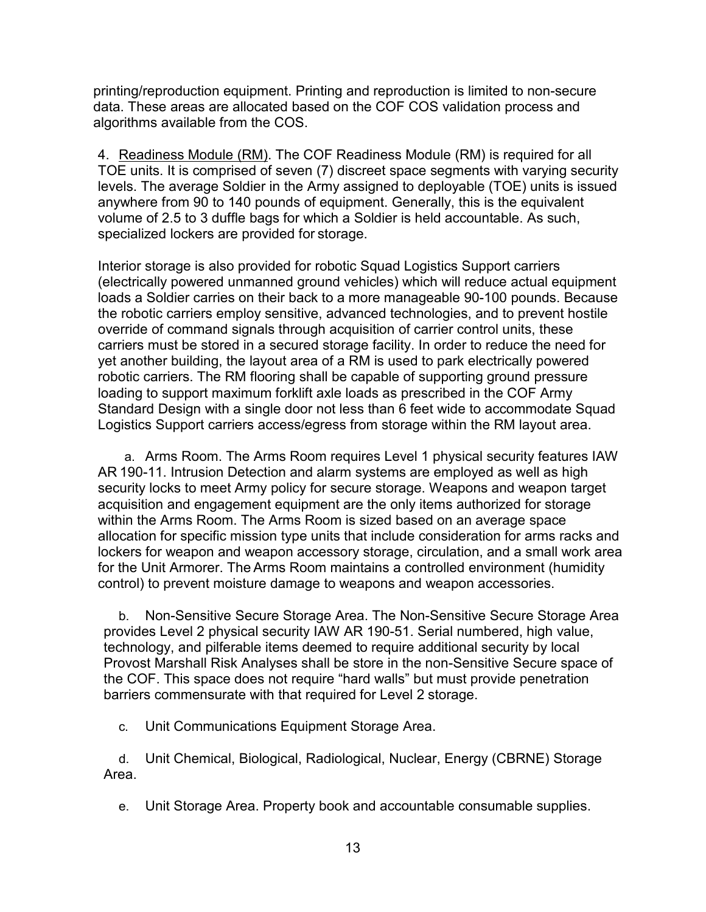printing/reproduction equipment. Printing and reproduction is limited to non-secure data. These areas are allocated based on the COF COS validation process and algorithms available from the COS.

4. Readiness Module (RM). The COF Readiness Module (RM) is required for all TOE units. It is comprised of seven (7) discreet space segments with varying security levels. The average Soldier in the Army assigned to deployable (TOE) units is issued anywhere from 90 to 140 pounds of equipment. Generally, this is the equivalent volume of 2.5 to 3 duffle bags for which a Soldier is held accountable. As such, specialized lockers are provided for storage.

Interior storage is also provided for robotic Squad Logistics Support carriers (electrically powered unmanned ground vehicles) which will reduce actual equipment loads a Soldier carries on their back to a more manageable 90-100 pounds. Because the robotic carriers employ sensitive, advanced technologies, and to prevent hostile override of command signals through acquisition of carrier control units, these carriers must be stored in a secured storage facility. In order to reduce the need for yet another building, the layout area of a RM is used to park electrically powered robotic carriers. The RM flooring shall be capable of supporting ground pressure loading to support maximum forklift axle loads as prescribed in the COF Army Standard Design with a single door not less than 6 feet wide to accommodate Squad Logistics Support carriers access/egress from storage within the RM layout area.

a. Arms Room. The Arms Room requires Level 1 physical security features IAW AR 190-11. Intrusion Detection and alarm systems are employed as well as high security locks to meet Army policy for secure storage. Weapons and weapon target acquisition and engagement equipment are the only items authorized for storage within the Arms Room. The Arms Room is sized based on an average space allocation for specific mission type units that include consideration for arms racks and lockers for weapon and weapon accessory storage, circulation, and a small work area for the Unit Armorer. The Arms Room maintains a controlled environment (humidity control) to prevent moisture damage to weapons and weapon accessories.

b. Non-Sensitive Secure Storage Area. The Non-Sensitive Secure Storage Area provides Level 2 physical security IAW AR 190-51. Serial numbered, high value, technology, and pilferable items deemed to require additional security by local Provost Marshall Risk Analyses shall be store in the non-Sensitive Secure space of the COF. This space does not require "hard walls" but must provide penetration barriers commensurate with that required for Level 2 storage.

c. Unit Communications Equipment Storage Area.

d. Unit Chemical, Biological, Radiological, Nuclear, Energy (CBRNE) Storage Area.

e. Unit Storage Area. Property book and accountable consumable supplies.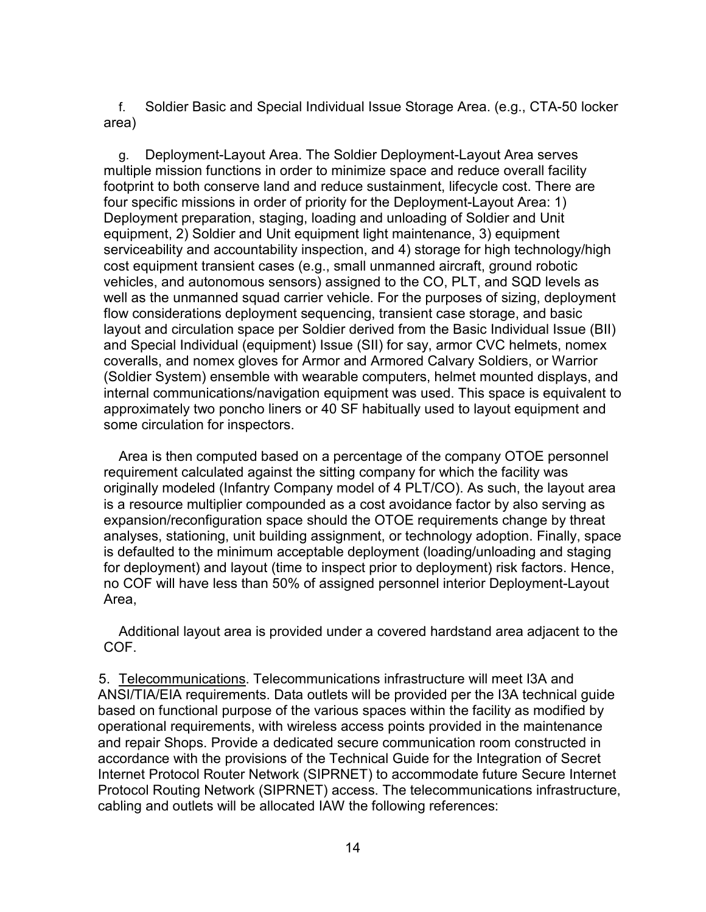f. Soldier Basic and Special Individual Issue Storage Area. (e.g., CTA-50 locker area)

g. Deployment-Layout Area. The Soldier Deployment-Layout Area serves multiple mission functions in order to minimize space and reduce overall facility footprint to both conserve land and reduce sustainment, lifecycle cost. There are four specific missions in order of priority for the Deployment-Layout Area: 1) Deployment preparation, staging, loading and unloading of Soldier and Unit equipment, 2) Soldier and Unit equipment light maintenance, 3) equipment serviceability and accountability inspection, and 4) storage for high technology/high cost equipment transient cases (e.g., small unmanned aircraft, ground robotic vehicles, and autonomous sensors) assigned to the CO, PLT, and SQD levels as well as the unmanned squad carrier vehicle. For the purposes of sizing, deployment flow considerations deployment sequencing, transient case storage, and basic layout and circulation space per Soldier derived from the Basic Individual Issue (BII) and Special Individual (equipment) Issue (SII) for say, armor CVC helmets, nomex coveralls, and nomex gloves for Armor and Armored Calvary Soldiers, or Warrior (Soldier System) ensemble with wearable computers, helmet mounted displays, and internal communications/navigation equipment was used. This space is equivalent to approximately two poncho liners or 40 SF habitually used to layout equipment and some circulation for inspectors.

Area is then computed based on a percentage of the company OTOE personnel requirement calculated against the sitting company for which the facility was originally modeled (Infantry Company model of 4 PLT/CO). As such, the layout area is a resource multiplier compounded as a cost avoidance factor by also serving as expansion/reconfiguration space should the OTOE requirements change by threat analyses, stationing, unit building assignment, or technology adoption. Finally, space is defaulted to the minimum acceptable deployment (loading/unloading and staging for deployment) and layout (time to inspect prior to deployment) risk factors. Hence, no COF will have less than 50% of assigned personnel interior Deployment-Layout Area,

Additional layout area is provided under a covered hardstand area adjacent to the COF.

5. Telecommunications. Telecommunications infrastructure will meet I3A and ANSI/TIA/EIA requirements. Data outlets will be provided per the I3A technical guide based on functional purpose of the various spaces within the facility as modified by operational requirements, with wireless access points provided in the maintenance and repair Shops. Provide a dedicated secure communication room constructed in accordance with the provisions of the Technical Guide for the Integration of Secret Internet Protocol Router Network (SIPRNET) to accommodate future Secure Internet Protocol Routing Network (SIPRNET) access. The telecommunications infrastructure, cabling and outlets will be allocated IAW the following references: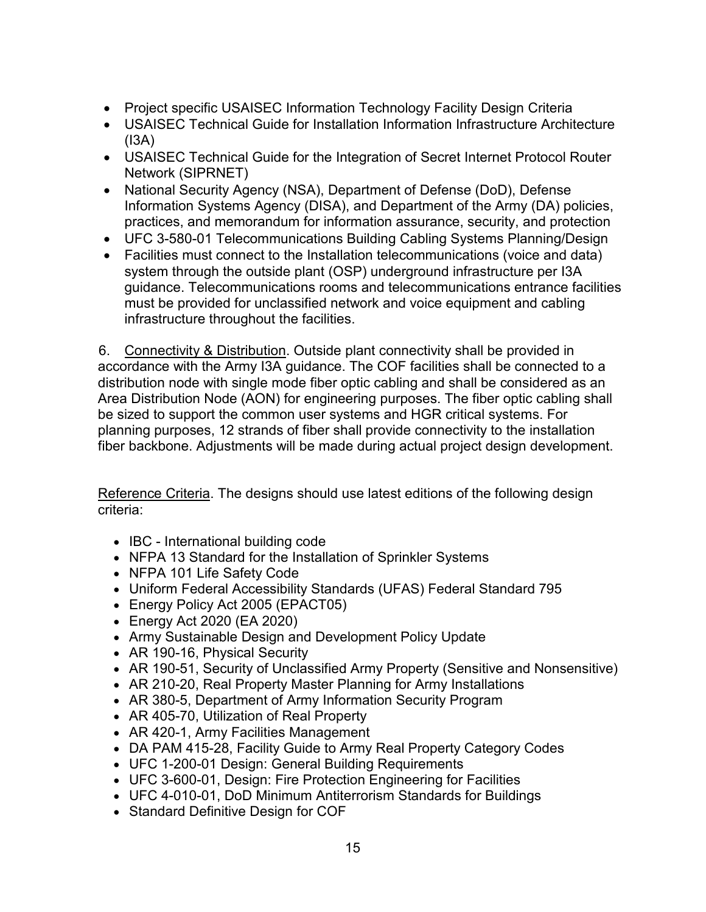- Project specific USAISEC Information Technology Facility Design Criteria
- USAISEC Technical Guide for Installation Information Infrastructure Architecture  $(I3A)$
- USAISEC Technical Guide for the Integration of Secret Internet Protocol Router Network (SIPRNET)
- National Security Agency (NSA), Department of Defense (DoD), Defense Information Systems Agency (DISA), and Department of the Army (DA) policies, practices, and memorandum for information assurance, security, and protection
- UFC 3-580-01 Telecommunications Building Cabling Systems Planning/Design
- Facilities must connect to the Installation telecommunications (voice and data) system through the outside plant (OSP) underground infrastructure per I3A guidance. Telecommunications rooms and telecommunications entrance facilities must be provided for unclassified network and voice equipment and cabling infrastructure throughout the facilities.

6. Connectivity & Distribution. Outside plant connectivity shall be provided in accordance with the Army I3A guidance. The COF facilities shall be connected to a distribution node with single mode fiber optic cabling and shall be considered as an Area Distribution Node (AON) for engineering purposes. The fiber optic cabling shall be sized to support the common user systems and HGR critical systems. For planning purposes, 12 strands of fiber shall provide connectivity to the installation fiber backbone. Adjustments will be made during actual project design development.

Reference Criteria. The designs should use latest editions of the following design criteria:

- IBC International building code
- NFPA 13 Standard for the Installation of Sprinkler Systems
- NFPA 101 Life Safety Code
- Uniform Federal Accessibility Standards (UFAS) Federal Standard 795
- Energy Policy Act 2005 (EPACT05)
- Energy Act 2020 (EA 2020)
- Army Sustainable Design and Development Policy Update
- AR 190-16, Physical Security
- AR 190-51, Security of Unclassified Army Property (Sensitive and Nonsensitive)
- AR 210-20, Real Property Master Planning for Army Installations
- AR 380-5, Department of Army Information Security Program
- AR 405-70, Utilization of Real Property
- AR 420-1, Army Facilities Management
- DA PAM 415-28, Facility Guide to Army Real Property Category Codes
- UFC 1-200-01 Design: General Building Requirements
- UFC 3-600-01, Design: Fire Protection Engineering for Facilities
- UFC 4-010-01, DoD Minimum Antiterrorism Standards for Buildings
- Standard Definitive Design for COF